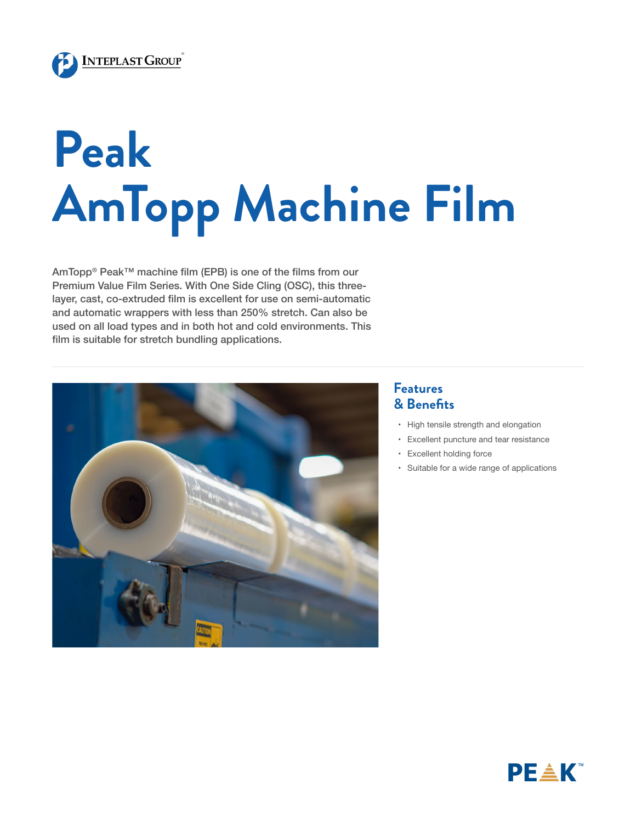

## **Peak AmTopp Machine Film**

AmTopp® Peak™ machine film (EPB) is one of the films from our Premium Value Film Series. With One Side Cling (OSC), this threelayer, cast, co-extruded film is excellent for use on semi-automatic and automatic wrappers with less than 250% stretch. Can also be used on all load types and in both hot and cold environments. This film is suitable for stretch bundling applications.



## **Features & Benefits**

- • High tensile strength and elongation
- • Excellent puncture and tear resistance
- • Excellent holding force
- • Suitable for a wide range of applications